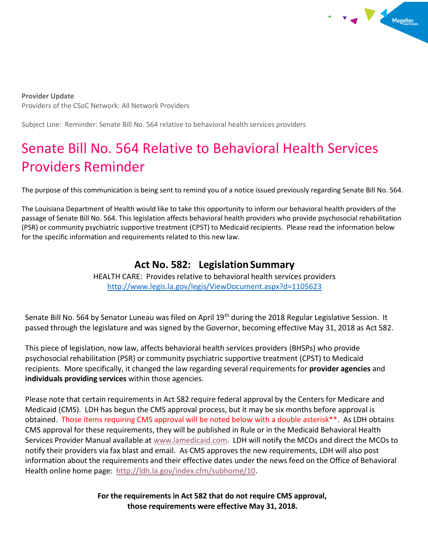

**Provider Update** Providers of the CSoC Network: All Network Providers

Subject Line: Reminder: Senate Bill No. 564 relative to behavioral health services providers

## Senate Bill No. 564 Relative to Behavioral Health Services Providers Reminder

The purpose of this communication is being sent to remind you of a notice issued previously regarding Senate Bill No. 564.

The Louisiana Department of Health would like to take this opportunity to inform our behavioral health providers of the passage of Senate Bill No. 564. This legislation affects behavioral health providers who provide psychosocial rehabilitation (PSR) or community psychiatric supportive treatment (CPST) to Medicaid recipients. Please read the information below for the specific information and requirements related to this new law.

## **Act No. 582: Legislation Summary**

HEALTH CARE: Provides relative to behavioral health services providers <http://www.legis.la.gov/legis/ViewDocument.aspx?d=1105623>

Senate Bill No. 564 by Senator Luneau was filed on April 19<sup>th</sup> during the 2018 Regular Legislative Session. It passed through the legislature and was signed by the Governor, becoming effective May 31, 2018 as Act 582.

This piece of legislation, now law, affects behavioral health services providers (BHSPs) who provide psychosocial rehabilitation (PSR) or community psychiatric supportive treatment (CPST) to Medicaid recipients. More specifically, it changed the law regarding several requirements for **provider agencies** and **individuals providing services** within those agencies.

Please note that certain requirements in Act 582 require federal approval by the Centers for Medicare and Medicaid (CMS). LDH has begun the CMS approval process, but it may be six months before approval is obtained. Those items requiring CMS approval will be noted below with a double asterisk\*\*. As LDH obtains CMS approval for these requirements, they will be published in Rule or in the Medicaid Behavioral Health Services Provider Manual available a[t www.lamedicaid.com.](http://www.lamedicaid.com/) LDH will notify the MCOs and direct the MCOs to notify their providers via fax blast and email. As CMS approves the new requirements, LDH will also post information about the requirements and their effective dates under the news feed on the Office of Behavioral Health online home page: [http://ldh.la.gov/index.cfm/subhome/10.](http://ldh.la.gov/index.cfm/subhome/10)

> **For the requirements in Act 582 that do not require CMS approval, those requirements were effective May 31, 2018.**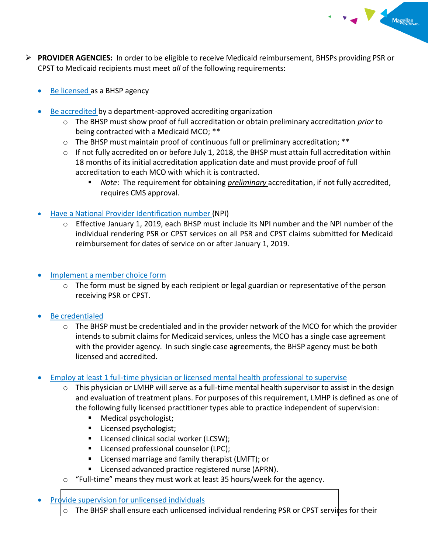- **PROVIDER AGENCIES:** In order to be eligible to receive Medicaid reimbursement, BHSPs providing PSR or CPST to Medicaid recipients must meet *all* of the following requirements:
	- Be licensed as a BHSP agency
	- Be accredited by a department-approved accrediting organization
		- o The BHSP must show proof of full accreditation or obtain preliminary accreditation *prior* to being contracted with a Medicaid MCO; \*\*
		- o The BHSP must maintain proof of continuous full or preliminary accreditation; \*\*
		- $\circ$  If not fully accredited on or before July 1, 2018, the BHSP must attain full accreditation within 18 months of its initial accreditation application date and must provide proof of full accreditation to each MCO with which it is contracted.
			- *Note*: The requirement for obtaining *preliminary* accreditation, if not fully accredited, requires CMS approval.

Magellan

- Have a National Provider Identification number (NPI)
	- $\circ$  Effective January 1, 2019, each BHSP must include its NPI number and the NPI number of the individual rendering PSR or CPST services on all PSR and CPST claims submitted for Medicaid reimbursement for dates of service on or after January 1, 2019.
- Implement a member choice form
	- $\circ$  The form must be signed by each recipient or legal guardian or representative of the person receiving PSR or CPST.
- Be credentialed
	- o The BHSP must be credentialed and in the provider network of the MCO for which the provider intends to submit claims for Medicaid services, unless the MCO has a single case agreement with the provider agency. In such single case agreements, the BHSP agency must be both licensed and accredited.
- Employ at least 1 full-time physician or licensed mental health professional to supervise
	- o This physician or LMHP will serve as a full-time mental health supervisor to assist in the design and evaluation of treatment plans. For purposes of this requirement, LMHP is defined as one of the following fully licensed practitioner types able to practice independent of supervision:
		- Medical psychologist;
		- Licensed psychologist;
		- Licensed clinical social worker (LCSW);
		- Licensed professional counselor (LPC);
		- Licensed marriage and family therapist (LMFT); or
		- Licensed advanced practice registered nurse (APRN).
	- o "Full-time" means they must work at least 35 hours/week for the agency.

Provide supervision for unlicensed individuals

o The BHSP shall ensure each unlicensed individual rendering PSR or CPST services for their